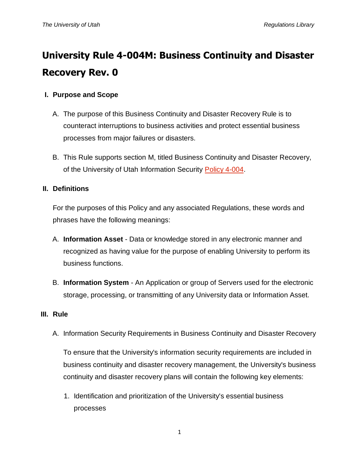# **University Rule 4-004M: Business Continuity and Disaster Recovery Rev. 0**

## **I. Purpose and Scope**

- A. The purpose of this Business Continuity and Disaster Recovery Rule is to counteract interruptions to business activities and protect essential business processes from major failures or disasters.
- B. This Rule supports section M, titled Business Continuity and Disaster Recovery, of the University of Utah Information Security [Policy 4-004.](http://regulations.utah.edu/it/4-004.php)

### **II. Definitions**

For the purposes of this Policy and any associated Regulations, these words and phrases have the following meanings:

- A. **Information Asset** Data or knowledge stored in any electronic manner and recognized as having value for the purpose of enabling University to perform its business functions.
- B. **Information System** An Application or group of Servers used for the electronic storage, processing, or transmitting of any University data or Information Asset.

#### **III. Rule**

A. Information Security Requirements in Business Continuity and Disaster Recovery

To ensure that the University's information security requirements are included in business continuity and disaster recovery management, the University's business continuity and disaster recovery plans will contain the following key elements:

1. Identification and prioritization of the University's essential business processes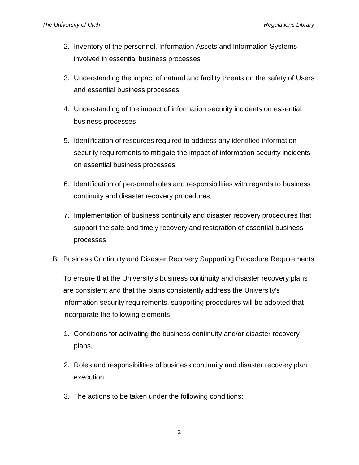- 2. Inventory of the personnel, Information Assets and Information Systems involved in essential business processes
- 3. Understanding the impact of natural and facility threats on the safety of Users and essential business processes
- 4. Understanding of the impact of information security incidents on essential business processes
- 5. Identification of resources required to address any identified information security requirements to mitigate the impact of information security incidents on essential business processes
- 6. Identification of personnel roles and responsibilities with regards to business continuity and disaster recovery procedures
- 7. Implementation of business continuity and disaster recovery procedures that support the safe and timely recovery and restoration of essential business processes
- B. Business Continuity and Disaster Recovery Supporting Procedure Requirements

To ensure that the University's business continuity and disaster recovery plans are consistent and that the plans consistently address the University's information security requirements, supporting procedures will be adopted that incorporate the following elements:

- 1. Conditions for activating the business continuity and/or disaster recovery plans.
- 2. Roles and responsibilities of business continuity and disaster recovery plan execution.
- 3. The actions to be taken under the following conditions: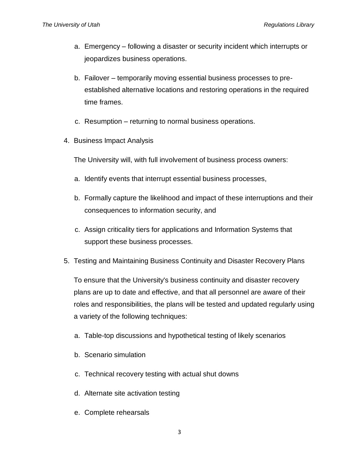- a. Emergency following a disaster or security incident which interrupts or jeopardizes business operations.
- b. Failover temporarily moving essential business processes to preestablished alternative locations and restoring operations in the required time frames.
- c. Resumption returning to normal business operations.
- 4. Business Impact Analysis

The University will, with full involvement of business process owners:

- a. Identify events that interrupt essential business processes,
- b. Formally capture the likelihood and impact of these interruptions and their consequences to information security, and
- c. Assign criticality tiers for applications and Information Systems that support these business processes.
- 5. Testing and Maintaining Business Continuity and Disaster Recovery Plans

To ensure that the University's business continuity and disaster recovery plans are up to date and effective, and that all personnel are aware of their roles and responsibilities, the plans will be tested and updated regularly using a variety of the following techniques:

- a. Table-top discussions and hypothetical testing of likely scenarios
- b. Scenario simulation
- c. Technical recovery testing with actual shut downs
- d. Alternate site activation testing
- e. Complete rehearsals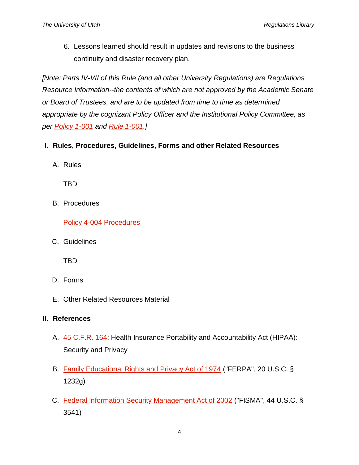6. Lessons learned should result in updates and revisions to the business continuity and disaster recovery plan.

*[Note: Parts IV-VII of this Rule (and all other University Regulations) are Regulations Resource Information--the contents of which are not approved by the Academic Senate or Board of Trustees, and are to be updated from time to time as determined appropriate by the cognizant Policy Officer and the Institutional Policy Committee, as per [Policy 1-001](http://regulations.utah.edu/general/1-001.php) and [Rule 1-001.](http://regulations.utah.edu/general/rules/R1-001.php)]*

- **I. Rules, Procedures, Guidelines, Forms and other Related Resources**
	- A. Rules

TBD

B. Procedures

[Policy 4-004 Procedures](https://uofu.box.com/v/Procedures)

C. Guidelines

TBD

- D. Forms
- E. Other Related Resources Material

#### **II. References**

- A. [45 C.F.R. 164:](http://www.gpo.gov/fdsys/pkg/CFR-2011-title45-vol1/pdf/CFR-2011-title45-vol1-part164.pdf) Health Insurance Portability and Accountability Act (HIPAA): Security and Privacy
- B. [Family Educational Rights and Privacy Act of 1974](http://www2.ed.gov/policy/gen/guid/fpco/ferpa/index.html) ("FERPA", 20 U.S.C. § 1232g)
- C. [Federal Information Security Management Act of 2002](http://www.dhs.gov/federal-information-security-management-act-fisma) ("FISMA", 44 U.S.C. § 3541)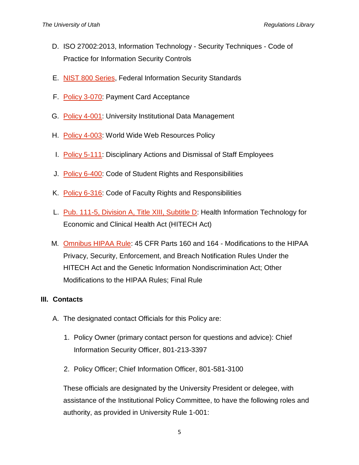- D. ISO 27002:2013, Information Technology Security Techniques Code of Practice for Information Security Controls
- E. [NIST 800 Series,](http://csrc.nist.gov/publications/PubsSPs.html) Federal Information Security Standards
- F. [Policy 3-070:](http://regulations.utah.edu/administration/3-070.php) Payment Card Acceptance
- G. [Policy 4-001:](http://regulations.utah.edu/it/4-001.php) University Institutional Data Management
- H. [Policy 4-003:](http://regulations.utah.edu/it/4-003.php) World Wide Web Resources Policy
- I. [Policy 5-111:](http://regulations.utah.edu/human-resources/5-111.php) Disciplinary Actions and Dismissal of Staff Employees
- J. [Policy 6-400:](http://regulations.utah.edu/academics/6-400.php) Code of Student Rights and Responsibilities
- K. [Policy 6-316:](http://regulations.utah.edu/academics/6-316.php) Code of Faculty Rights and Responsibilities
- L. [Pub. 111-5, Division A, Title XIII, Subtitle D:](http://www.hhs.gov/ocr/privacy/hipaa/understanding/coveredentities/hitechact.pdf) Health Information Technology for Economic and Clinical Health Act (HITECH Act)
- M. [Omnibus HIPAA Rule:](http://www.gpo.gov/fdsys/pkg/FR-2013-01-25/pdf/2013-01073.pdf) 45 CFR Parts 160 and 164 Modifications to the HIPAA Privacy, Security, Enforcement, and Breach Notification Rules Under the HITECH Act and the Genetic Information Nondiscrimination Act; Other Modifications to the HIPAA Rules; Final Rule

#### **III. Contacts**

- A. The designated contact Officials for this Policy are:
	- 1. Policy Owner (primary contact person for questions and advice): Chief Information Security Officer, 801-213-3397
	- 2. Policy Officer; Chief Information Officer, 801-581-3100

These officials are designated by the University President or delegee, with assistance of the Institutional Policy Committee, to have the following roles and authority, as provided in University Rule 1-001: